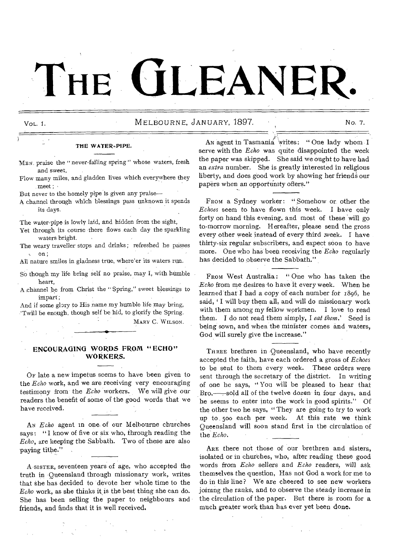# THE **GLEANEI**

## VoL. I. MELBOURNE, JANUARY, 1897. No. 7.

#### THE WATER--PIPE.

- MEN praise the "never-failing spring " whose waters, fresh and sweet,
- Flow many miles, and gladden lives which everywhere they meet ;
- But never to the homely pipe is given any praise—
- A channel through which blessings pass unknown it spends its days.

The water-pipe is lowly laid, and hidden from the sight,

- Yet through its course there flows each day the sparkling waters bright.
- The weary traveller stops and drinks ; refreshed he passes on;
- All nature smiles in gladness true, where'er its waters run.
- So though my life bring self no praise, may I, with humble heart,
- A channel be from Christ the " Spring," sweet blessings to impart ;

And if some glory to His name my humble life may bring, 'Twill be enough, though self be hid, to glorify the Spring. MARY C. WILSON.

#### **ENCOURAGING WORDS FROM "ECHO" WORKERS.**

OF late a new impetus seems to have been given to the *Echo* work, and we are receiving very encouraging testimony from the *Echo* workers. We will give our readers the benefit of some of the good words that we have received.

AN *Echo* agent in one of our Melbourne churches says: "I know of five or six who, through reading the *Echo,* are keeping the Sabbath. Two of these are also paying tithe."

A SISTER, seventeen years of age, who accepted the truth in Queensland through missionary work, writes that she has decided to devote her whole time to the *Echo* work, as she thinks it is the best thing she can do. She has been selling the paper to neighbours and friends, and finds that it is well received.

An agent in Tasmania writes: " One lady whom I serve with the *Echo* was quite disappointed the week the paper was skipped. She said we ought to have had an *extra* number. She is greatly interested in religious liberty, and does good work by showing her friends our papers when an opportunity offers."

FROM a Sydney worker: " Somehow or other the *Echoes* seem to- have flown this week. I have only forty on hand this evening, and most of these will go to-morrow morning. Hereafter, please send the gross every other week instead of every third week. I have thirty-six regular subscribers, and expect soon to have more. One who has been receiving the *Echo* regularly has decided to observe the Sabbath,"

FROM West Australia: "One who has taken the *Echo* from me desires to have it every week. When he learned that I had a copy of each number for 1896, he said, **I** will buy them all, and will do missionary work with them among my fellow workmen. I love to read them. I do not read them simply, I *eat them.'* Seed is being sown, and when the minister comes and waters, God will surely give the increase."

THREE brethren in Queensland, who have recently accepted the faith, have each ordered a gross of *Echoes*  to be sent to them every week. These orders were sent through the secretary of the district. In writing of one he says, " You will be pleased to hear that Bro. sold all of the twelve dozen in four days, and he seems to enter into the work in good spirits." Of the other two he says, " They are going to try to work up to . 50o each per week. At this rate we think Queensland will soon stand first in the circulation of the *Echo.* 

ARE there not those of our brethren and sisters, isolated or in churches, who, after reading these good words from *Echo* sellers and *Echo* readers, will ask themselves the question, Has not God a work for me to do in this line? We are cheered to see new workers joining the ranks, and to observe the steady increase in the circulation of the paper. But there is room for a much greater work than has ever yet been done.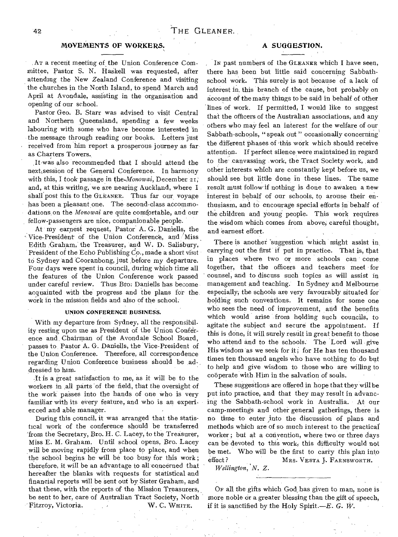### **MOVEMENTS OF WORKERS**.

,AT a recent meeting of the Union Conference Committee, Pastor S. N. HaSkell was requested, after attending the New Zealand Conference and visiting the churches in the North Island, to spend March and April at Avondale, assisting in the organisation and opening of our school.

Pastor Geo. B. Starr was advised to visit Central and Northern Queensland, spending a few weeks labouring with some who have become interested in the message through reading our books. Letters just received from him report a prosperous journey as far as Charters Towers.

.It-was also recommended that I should attend the next session of the General Conference. In harmony with this, I took passage in the *Monowai*, December 21, and, at this writing, we are nearing Auckland, where I shall post this to the GLEANER. Thus far our voyage has been a pleasant one. The second-class accommodations, on the *Monowai* are quite comfortable, and our fellow-passengers are nice, companionable people.

At my earnest request, Pastor' A. G. Daniells, the Vice-President of the Union Conference, and 'Miss Edith Graham, the Treasurer, and W. D. Salisbury, President of the Echo Publishing Co., made a short visit to Sydney and Cooranbong, just before my departure. Four days were spent in council, during which time all the features of the Union Conference work passed under careful review. Thus Bro: Daniells has become acquainted with the progress and the plans for the work in the mission fields and also of the school.

#### **UNION CONFERENCE BUSINESS.**

With my departure from Sydney, all the responsibility resting upon me as President of the Union Conference and Chairman of the Avondale School Board, passes to Pastor A. G. Daniells, the Vice-President of the Union Conference. Therefore, all correspondence regarding Union Conference business should be addressed to him.

It is a great satisfaction to me, as it will be to the workers in all parts 'of the field, that the oversight of the work passes into the hands of one who is very familiar with its every feature, and who is an experier ced and able manager.

During this council, it was arranged that the statistical work of the conference should be transferred 'from the Secretary, Bro. H. C. Lacey, to the Treasurer, Miss E. M. Graham. Until school opens, Bro. Lacey will be moving rapidly from place to place, and when the school begins he will be too busy for this work; therefore, it will be an advantage to all concerned that hereafter the blanks with requests for statistical and financial reports will be sent out by Sister Graham, and that these, with the reports of the Mission Treasurers, be sent to her, care of Australian Tract Society, North 'Fitzroy, Victoria. W. C. WurrE.

## **A SUGGESTION.**

IN past numbers of the GLEANER which I have seen, there has been but little said concerning Sabbathschool work. This surely is not because of a lack of interest in. this branch of the cause, but probably on account of the many things to be said in behalf of other lines of work. If permitted, I would like to suggest that the officers of the Australian associations, and any others who may feel an interest for the welfare of our, Sabbath-schools, " speak out " occasionally concerning' the different phases of this work which should receive attention. If perfect silence were maintained in regard to the canvassing work, the Tract Society work, and other interests which are constantly kept before us, we should see but little done in these lines. The same result must follow if nothing is done to awaken a new interest in behalf of our schools, to arouse their enthusiasm, and to encourage special efforts in behalf of the children and young people. This work requires the wisdom which comes from above, careful thought, and earnest effort.

There is another suggestion which might assist in carrying out the first if put in practice. That is, that in places where two or more schools can come together, that the officers and teachers meet for counsel, and to discuss such topics as will assist in management and teaching.' In Sydney and Melbourne especially, the schools are very favourably situated for' holding such conventions. It remains for some one who sees the need of improvement, and the benefits which would arise from holding such councils, to agitate the subject and secure the appointment. If this is done, it will surely result in great benefit to those who attend and to the schools. The Lord will give His wisdom as we seek for it; for He has ten thousand times ten thousand angels who have nothing to do but to help and give wisdom to those who are willing to cooperate with Him in the salvation of souls.

These suggestions are offered in hope that they will be put into practice, and that they may result in advancing the Sabbath-school work in Australia. At our camp-meetings and other general gatherings, there is no time to enter ,into the discussion of plans and methods which are of so much interest to the practical worker; but at a convention, where two or three days can be devoted to this work, this difficulty would not be met. Who will be the first to carry this plan into effect? MRS. VESTA J. FARNSWORTH.

*Wellington, N. Z.* 

OF all the gifts which God has given to man, none is more noble or a greater blessing than the gift of speech, if it is sanctified by the Holy Spirit.—E. *G. W.*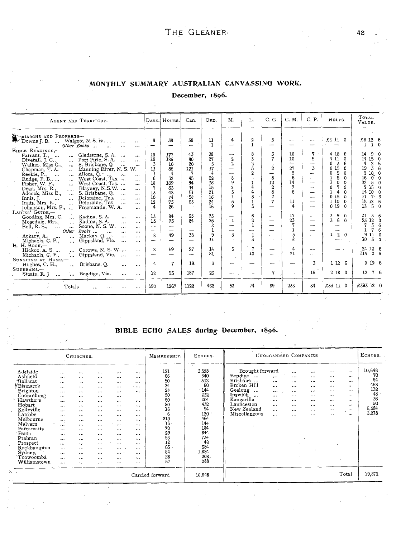# MONTHLY SUMMARY AUSTRALIAN CANVASSING WORK.

## December, 1896.

| AGENT AND TERRITORY.                                                                                                                                                                                                                                                                                                                                                                                                                                                                                                                                                                                                                                                                                                                                                                                                                                      |                                                                                               | DAYS. HOURS.                                                                        | Can.                                                                                     | ORD.                                                                      | M.                                                                                                            | L.                                                                                  | C. G.                                                                                     | C. M.                                                                         | C. P.<br>$\sim$                                                                       | HELPS.                                                                                                                                                                                                                                                                             | TOTAL<br>VALUE.                                                                                                                                                                                                                                                |
|-----------------------------------------------------------------------------------------------------------------------------------------------------------------------------------------------------------------------------------------------------------------------------------------------------------------------------------------------------------------------------------------------------------------------------------------------------------------------------------------------------------------------------------------------------------------------------------------------------------------------------------------------------------------------------------------------------------------------------------------------------------------------------------------------------------------------------------------------------------|-----------------------------------------------------------------------------------------------|-------------------------------------------------------------------------------------|------------------------------------------------------------------------------------------|---------------------------------------------------------------------------|---------------------------------------------------------------------------------------------------------------|-------------------------------------------------------------------------------------|-------------------------------------------------------------------------------------------|-------------------------------------------------------------------------------|---------------------------------------------------------------------------------------|------------------------------------------------------------------------------------------------------------------------------------------------------------------------------------------------------------------------------------------------------------------------------------|----------------------------------------------------------------------------------------------------------------------------------------------------------------------------------------------------------------------------------------------------------------|
| TRIARCHS AND PROPHETS-<br>Downs J. B.  Walgett, N. S. W.<br>$\ddotsc$<br>$\cdots$<br>$Other$ Books $\ldots$<br>$\ddotsc$<br>$\cdots$                                                                                                                                                                                                                                                                                                                                                                                                                                                                                                                                                                                                                                                                                                                      | 8                                                                                             | 38                                                                                  | 58<br>$\overline{\phantom{a}}$                                                           | 11<br>È.                                                                  | 4<br>$\overline{\phantom{0}}$                                                                                 | $\overline{2}$<br>$\mathbf{1}$                                                      | 5                                                                                         | $-$                                                                           | $\overline{\phantom{a}}$<br>---                                                       | £110                                                                                                                                                                                                                                                                               | £8 12 6<br>1 <sub>0</sub><br>1                                                                                                                                                                                                                                 |
| $B$ IBLE READINGS,-<br>Gladstone, S.A.<br>Farrant, T.,<br>$\cdots$<br>Port Pirie, S.A.<br>Diverall, J. C.,<br>$\ddotsc$<br>$\cdots$<br>S. Brisbane, Q.<br>Walker, Miss G.,<br>$\mathbf{a}$<br>$\ldots$<br>$\cdots$<br>Manning River, N. S. W.<br>Chapman, T. A.<br>$\mathbf{r}_{\mathbf{a}}$ .<br>Allora, Q<br>Reekie, P.,<br>$\ddotsc$<br>$\mathbf{r}$<br>$\cdots$<br>West Coast, Tas.<br>Rudge, P. B.,<br>Fisher. W. F.,<br>$\cdots$<br>$\cdots$<br>West Coast, Tas.<br>$\mathbf{r}$<br>$\ddotsc$<br>Blayney, N.S.W.<br>Dean, Mrs. R.,<br>$\mathbf{r}$<br>$\cdots$<br>S. Brisbane, O.<br>Adcock, Miss E.,<br>$\mathbf{a}$<br>$\ddotsc$<br>$\cdots$<br>Deloraine, Tas.<br>Innis, J.<br>$\cdots$<br>$\cdots$<br>$\cdots$<br>$\ddots$<br>Deloraine, Tas.<br>Innis, Mrs. K.<br>$\ddotsc$<br>$\cdots$<br>Freemantle, W. A.<br>Johanson, Mrs. F.,<br>$\cdots$ | 18<br>19<br>3<br>13<br>6<br>18<br>$\overline{7}$<br>13<br>10<br>12<br>$\overline{\mathbf{4}}$ | 177<br>186<br>10<br>86<br>$\overline{4}$<br>32<br>109<br>33<br>48<br>74<br>75<br>26 | 43<br>80<br>20<br>121<br>7<br>45<br>84<br>44<br>51<br>$-58$<br>63<br>$\rightarrow$       | 28<br>27<br>5<br>37<br>4<br>$\frac{22}{36}$<br>īš<br>21<br>16<br>24<br>16 | $\sim$<br>$\boldsymbol{2}$<br>$\overline{2}$<br>—<br>---<br>8<br>9<br>$\frac{2}{3}$<br>1<br>5<br>$\mathbf{q}$ | 8<br>3<br>$\frac{2}{5}$<br>$\overline{2}$<br>÷,<br>$\mathbf{1}$<br>4<br>4<br>8<br>3 | 3<br>7<br>$\mathbf{I}$<br>$\overline{2}$<br>–<br>8<br>12<br>$\overline{2}$<br>8<br>7<br>7 | 10<br>10<br>$\sim$<br>27<br>$\mathbf{2}$<br>ĥ.<br>14<br>7<br>6<br><br>11<br>4 | 7<br>5<br>$\overline{\phantom{0}}$<br>3<br>----<br>$\sim$<br>$\overline{\phantom{a}}$ | 4 18<br>$\mathbf{0}$<br>4 11<br>$\Omega$<br>$\overline{3}$<br>6<br>0<br>015<br>$\boldsymbol{0}$<br>5<br>0<br>$\Omega$<br>5<br>ı<br>$\Omega$<br>3<br>$\mathbf o$<br>$\Omega$<br>7<br>0<br>$\Omega$<br>1<br>4<br>$\Omega$<br>0 15<br>$\Omega$<br>1 10<br>$\Omega$<br>019<br>$\Omega$ | 90<br>14<br>$14$ 15 0<br>$\mathbf{2}$<br>6<br>4<br>36<br>19<br>$\begin{array}{c} 2 & 10 & 0 \\ 16 & 0 & 0 \\ 22 & 5 & 0 \\ 9 & 15 & 0 \end{array}$<br>16<br>$22^{\circ}$<br>14 10 0<br>$7 - 6$<br>21<br>15<br>$\begin{matrix}12 & 6\\ 5 & 0\end{matrix}$<br>13 |
| LADIES' GUIDE <sub>.</sub> -<br>Kadina, S.A.<br>Gooding, Mrs, C.<br>$\ddotsc$<br>$\cdots$<br>Kadina, S.A.<br>Mosedale, Mrs.,<br>$\cdots$<br>$\cdots$<br>Scone, N.S.W.<br>Bell, R. S., $\ldots$<br>$\ddotsc$<br>$\cdots$<br>$\ddotsc$<br>$Books \dots$<br><b>Other</b><br>$\sim$<br>$\cdots$<br>$\ddotsc$<br>Mackay, $Q$<br>Ackary, A.,<br>$\ddotsc$<br>$\cdots$<br>$\cdots$<br>Michaels, C. P.,<br>Gippsland, Vic.<br>$\cdots$<br>$\cdots$<br>$\cdots$                                                                                                                                                                                                                                                                                                                                                                                                    | 13<br>13<br>$\sim$<br>--<br>8<br>$\overline{\phantom{a}}$                                     | 84<br>75<br>$\overline{\phantom{0}}$<br>$\overline{\phantom{0}}$<br>49<br>-         | 93<br>84<br>$\overline{a}$<br>$\overline{\phantom{0}}$<br>38<br>$\overline{\phantom{a}}$ | 23<br>26<br>8<br>9<br>$\overline{\mathbf{1}}$                             | -<br>$\mathbf{1}$<br>$\overline{a}$<br>$\overline{\phantom{a}}$<br>$\overline{3}$                             | 6<br>$\overline{2}$<br>$\mathbf 1$<br>---<br>$\mathbf 1$<br>$\bar{x}$               | $\sim$<br>$\overline{\phantom{a}}$<br>$\overline{\phantom{0}}$                            | 17<br>23<br>7<br>$\mathbf{1}$<br>5<br>R                                       | $\sim$<br>$\overline{\phantom{0}}$<br>-                                               | 3<br>9<br>$\Omega$<br>3<br>6<br>$\Omega$<br>---<br>--<br>$\overline{2}$<br>$\Omega$                                                                                                                                                                                                | 36<br>21<br>$\begin{array}{@{}c@{\hspace{1em}}c@{\hspace{1em}}}\n \begin{array}{c}\n 23 & 12 & 0 \\  7 & 3 & 6 \\  1 & 7 & 6\n \end{array}$<br>$\frac{11}{3}$ $\frac{0}{0}$<br>9<br>10                                                                         |
| Н. Н. Воок,-<br>Corowa, N. S. W.<br>Hickox, A. S.<br>$\cdots$<br>Michaels, C. P.,<br>Gippsland, Vic.<br>$\cdots$                                                                                                                                                                                                                                                                                                                                                                                                                                                                                                                                                                                                                                                                                                                                          | 8                                                                                             | 59<br>--                                                                            | 27<br>$\overline{\phantom{a}}$                                                           | 14<br>81                                                                  | 3<br>-                                                                                                        | $\overline{7}$<br>10                                                                | --                                                                                        | 4<br>71                                                                       | سبب                                                                                   |                                                                                                                                                                                                                                                                                    | $\begin{array}{ccc}\n24 & 12 & 6 \\ 15 & 2 & 6\n\end{array}$<br>115                                                                                                                                                                                            |
| SUNSHINE AT HOME,-<br>Brisbane, Q.<br>Hughes, C. H.,<br>$\cdots$<br>$\cdots$<br>SUNBEAMS.-                                                                                                                                                                                                                                                                                                                                                                                                                                                                                                                                                                                                                                                                                                                                                                | 4<br>12                                                                                       | 7<br>95                                                                             | 19<br>187                                                                                | 3<br>23                                                                   | ---                                                                                                           | --<br>--                                                                            | 7                                                                                         |                                                                               | 3<br>16                                                                               | 1 12 6<br>2180                                                                                                                                                                                                                                                                     | 0196<br>12 7 6                                                                                                                                                                                                                                                 |
| Bendigo, Vic.<br>Stoate, R. J.<br>$\ddotsc$<br>$\cdots$<br>$\cdots$<br>Totals<br>$\cdots$<br>$\cdots$                                                                                                                                                                                                                                                                                                                                                                                                                                                                                                                                                                                                                                                                                                                                                     | 190                                                                                           | 1267                                                                                | 1122                                                                                     | 462                                                                       | 52                                                                                                            | 74                                                                                  | 69                                                                                        | 233                                                                           | 34                                                                                    | £33 11 0                                                                                                                                                                                                                                                                           | £393 12 0                                                                                                                                                                                                                                                      |

# BIBLE ECHO SALES during December, 1896.

| CHURCHES.                                                                                                                                                                                                                                                |                                                                                                                                                                                                                               |                                                                                                                                                                                                       |                                                                                                                                                                                                              |                                                                                                                                                                                                                                     |                                                                                                                                                                                                      | MEMBERSHIP.                                                                                                                        | ECHOES.                                                                                                                                       | UNORGANISED COMPANIES                                                                                                                                                                                                                                                         | ECHOES.                                                                                      |                                                      |                                                                                                                  |                                                                           |                                                                      |
|----------------------------------------------------------------------------------------------------------------------------------------------------------------------------------------------------------------------------------------------------------|-------------------------------------------------------------------------------------------------------------------------------------------------------------------------------------------------------------------------------|-------------------------------------------------------------------------------------------------------------------------------------------------------------------------------------------------------|--------------------------------------------------------------------------------------------------------------------------------------------------------------------------------------------------------------|-------------------------------------------------------------------------------------------------------------------------------------------------------------------------------------------------------------------------------------|------------------------------------------------------------------------------------------------------------------------------------------------------------------------------------------------------|------------------------------------------------------------------------------------------------------------------------------------|-----------------------------------------------------------------------------------------------------------------------------------------------|-------------------------------------------------------------------------------------------------------------------------------------------------------------------------------------------------------------------------------------------------------------------------------|----------------------------------------------------------------------------------------------|------------------------------------------------------|------------------------------------------------------------------------------------------------------------------|---------------------------------------------------------------------------|----------------------------------------------------------------------|
| Adelaide<br>Ashfield<br>Ballarat<br>Bismarck<br>Brighton<br>Cooranbong<br>Hawthorn<br>Hobart<br>Kellyville<br>Latrobe<br>Melbourne<br>Malvern<br>Parramatta<br>Perth<br>Prahran<br>Prospect<br>Rockhampton<br><b>Sydney</b><br>Toowoomba<br>Williamstown | $\cdots$<br>$\cdots$<br>$\cdots$<br>$\cdots$<br>$\cdots$<br>$\cdots$<br><br>$\cdots$<br>$\cdots$<br>$\cdots$<br>$\cdots$<br>$\ddotsc$<br><br>$\cdots$<br>$\cdots$<br>$\cdots$<br>$\cdots$<br>$\cdots$<br>$\cdots$<br>$\cdots$ | $\cdots$<br>$\cdot$ $\cdot$<br><br><br>$\cdots$<br><br>$\cdots$<br><br>$\cdots$<br>$\cdots$<br>$\cdots$<br>$\cdots$<br>$\cdots$<br>$\cdots$<br>$\cdots$<br>$\ddotsc$<br>$\cdots$<br>$\ddotsc$<br><br> | $\cdots$<br>$\cdots$<br>$\cdots$<br>$\cdots$<br><br>$\cdots$<br>$\cdots$<br>$\cdots$<br>$\cdots$<br>$\cdots$<br>$\cdots$<br>$\cdots$<br><br>$\cdots$<br>$\cdots$<br><br><br>$\cdots$<br>$\cdots$<br>$\cdots$ | $\cdots$<br>$\cdots$<br>$\cdots$<br>$\cdots$<br>$\cdots$<br>$\cdots$<br>$\cdots$<br><br>$\cdots$<br>$\cdots$<br>$\cdots$<br>$\cdots$<br>$\cdots$<br>$\cdots$<br>$\cdots$<br>$\cdots$<br>$\cdots$<br>$\sim 10^{-10}$<br><br>$\cdots$ | $\cdots$<br>$\cdots$<br>$\cdots$<br>$5 - 6 + 4$<br>$\cdots$<br>$\cdots$<br>$\cdots$<br>$\ddotsc$<br>$\cdots$<br><br>$\cdots$<br>$\cdots$<br><br>$\cdots$<br>$\cdots$<br><br>$\cdots$<br><br>$\cdots$ | 121<br>66<br>50<br>24<br>24<br>50<br>50<br>90<br>16<br>6<br>210<br>16<br>70<br>29<br>53<br>$\overline{12}$<br>63<br>84<br>28<br>57 | 3,528<br>340<br>312<br>60<br>$-144$<br>232<br>204<br>432<br>94<br>120<br>464<br>144<br>184<br>844<br>734<br>48<br>384<br>1,884<br>208,<br>288 | Brought forward<br>Bendigo<br>$\ddotsc$<br>$\cdots$<br>Brisbane<br>$\overline{a}$<br>$\cdots$<br>Broken Hill<br>$\cdots$<br>Geelong<br>$\cdots$<br><br>Ipswich<br>$\cdots$<br>$\cdots$<br>Kangarilla<br>$-$<br>Launceston<br><br>New Zealand<br><br>Miscellaneous<br>$\cdots$ | $\cdots$<br><br><br>$\cdots$<br>$\cdots$<br>$\cdots$<br>$\cdots$<br>$\cdots$<br><br>$\cdots$ | <br><br><br>$\cdots$<br><br><br><br><br>$\cdots$<br> | $\cdots$<br>$\cdots$<br><br>$\cdots$<br><br>$\cdots$<br>$\cdots$<br>$\cdots$<br>$\cdots$<br>$\ddot{\phantom{0}}$ | <br><br><br><br><br>$\cdots$<br>$\cdots$<br>$\cdots$<br>0.001<br>$\cdots$ | 10,648<br>70<br>84<br>468<br>132<br>48<br>36<br>90<br>5,084<br>3,218 |
|                                                                                                                                                                                                                                                          |                                                                                                                                                                                                                               |                                                                                                                                                                                                       |                                                                                                                                                                                                              |                                                                                                                                                                                                                                     |                                                                                                                                                                                                      | Carried forward                                                                                                                    | 10,648                                                                                                                                        |                                                                                                                                                                                                                                                                               |                                                                                              |                                                      |                                                                                                                  | Total                                                                     | 19,872                                                               |